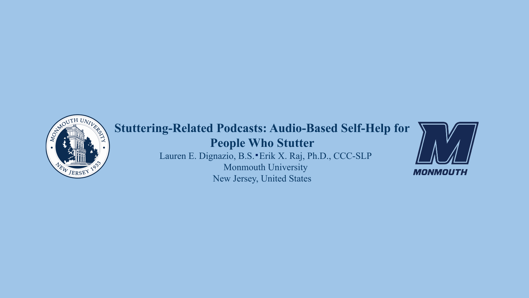

# **Stuttering-Related Podcasts: Audio-Based Self-Help for People Who Stutter** Lauren E. Dignazio, B.S. Erik X. Raj, Ph.D., CCC-SLP Monmouth University New Jersey, United States